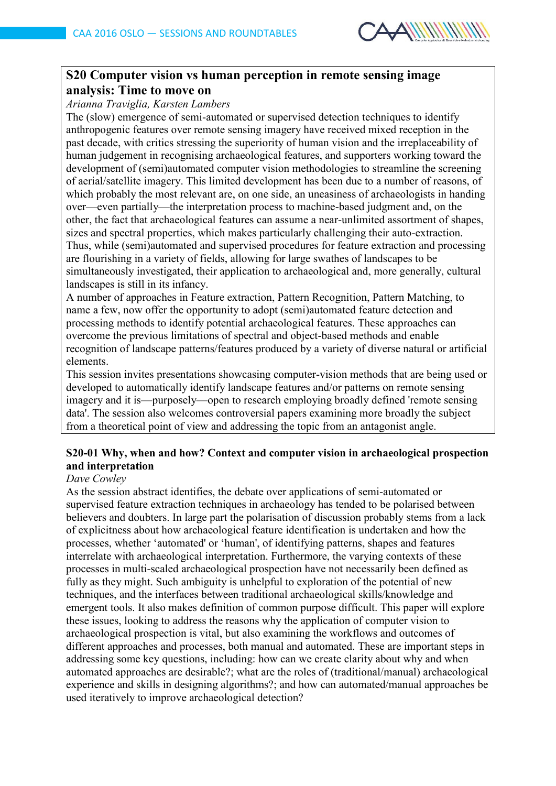

# **S20 Computer vision vs human perception in remote sensing image analysis: Time to move on**

### *Arianna Traviglia, Karsten Lambers*

The (slow) emergence of semi-automated or supervised detection techniques to identify anthropogenic features over remote sensing imagery have received mixed reception in the past decade, with critics stressing the superiority of human vision and the irreplaceability of human judgement in recognising archaeological features, and supporters working toward the development of (semi)automated computer vision methodologies to streamline the screening of aerial/satellite imagery. This limited development has been due to a number of reasons, of which probably the most relevant are, on one side, an uneasiness of archaeologists in handing over—even partially—the interpretation process to machine-based judgment and, on the other, the fact that archaeological features can assume a near-unlimited assortment of shapes, sizes and spectral properties, which makes particularly challenging their auto-extraction. Thus, while (semi)automated and supervised procedures for feature extraction and processing are flourishing in a variety of fields, allowing for large swathes of landscapes to be simultaneously investigated, their application to archaeological and, more generally, cultural landscapes is still in its infancy.

A number of approaches in Feature extraction, Pattern Recognition, Pattern Matching, to name a few, now offer the opportunity to adopt (semi)automated feature detection and processing methods to identify potential archaeological features. These approaches can overcome the previous limitations of spectral and object-based methods and enable recognition of landscape patterns/features produced by a variety of diverse natural or artificial elements.

This session invites presentations showcasing computer-vision methods that are being used or developed to automatically identify landscape features and/or patterns on remote sensing imagery and it is—purposely—open to research employing broadly defined 'remote sensing data'. The session also welcomes controversial papers examining more broadly the subject from a theoretical point of view and addressing the topic from an antagonist angle.

# **S20-01 Why, when and how? Context and computer vision in archaeological prospection and interpretation**

#### *Dave Cowley*

As the session abstract identifies, the debate over applications of semi-automated or supervised feature extraction techniques in archaeology has tended to be polarised between believers and doubters. In large part the polarisation of discussion probably stems from a lack of explicitness about how archaeological feature identification is undertaken and how the processes, whether 'automated' or 'human', of identifying patterns, shapes and features interrelate with archaeological interpretation. Furthermore, the varying contexts of these processes in multi-scaled archaeological prospection have not necessarily been defined as fully as they might. Such ambiguity is unhelpful to exploration of the potential of new techniques, and the interfaces between traditional archaeological skills/knowledge and emergent tools. It also makes definition of common purpose difficult. This paper will explore these issues, looking to address the reasons why the application of computer vision to archaeological prospection is vital, but also examining the workflows and outcomes of different approaches and processes, both manual and automated. These are important steps in addressing some key questions, including: how can we create clarity about why and when automated approaches are desirable?; what are the roles of (traditional/manual) archaeological experience and skills in designing algorithms?; and how can automated/manual approaches be used iteratively to improve archaeological detection?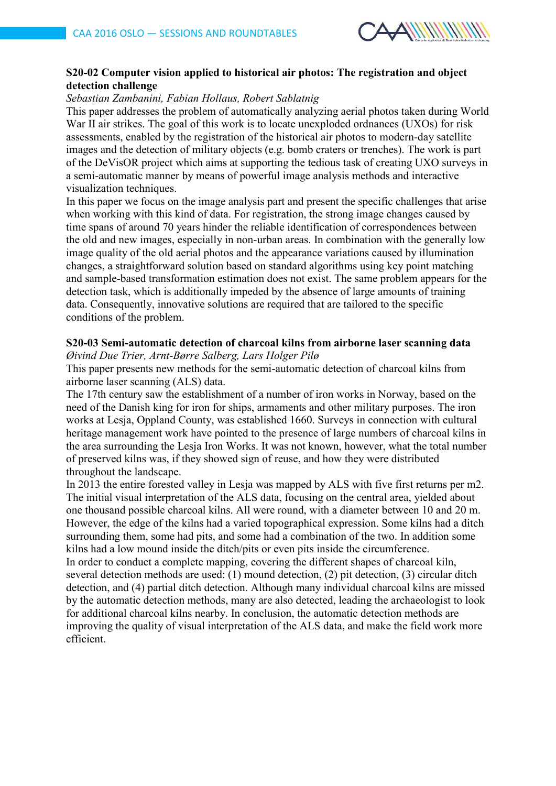

# **S20-02 Computer vision applied to historical air photos: The registration and object detection challenge**

## *Sebastian Zambanini, Fabian Hollaus, Robert Sablatnig*

This paper addresses the problem of automatically analyzing aerial photos taken during World War II air strikes. The goal of this work is to locate unexploded ordnances (UXOs) for risk assessments, enabled by the registration of the historical air photos to modern-day satellite images and the detection of military objects (e.g. bomb craters or trenches). The work is part of the DeVisOR project which aims at supporting the tedious task of creating UXO surveys in a semi-automatic manner by means of powerful image analysis methods and interactive visualization techniques.

In this paper we focus on the image analysis part and present the specific challenges that arise when working with this kind of data. For registration, the strong image changes caused by time spans of around 70 years hinder the reliable identification of correspondences between the old and new images, especially in non-urban areas. In combination with the generally low image quality of the old aerial photos and the appearance variations caused by illumination changes, a straightforward solution based on standard algorithms using key point matching and sample-based transformation estimation does not exist. The same problem appears for the detection task, which is additionally impeded by the absence of large amounts of training data. Consequently, innovative solutions are required that are tailored to the specific conditions of the problem.

# **S20-03 Semi-automatic detection of charcoal kilns from airborne laser scanning data**

*Øivind Due Trier, Arnt-Børre Salberg, Lars Holger Pilø* This paper presents new methods for the semi-automatic detection of charcoal kilns from airborne laser scanning (ALS) data.

The 17th century saw the establishment of a number of iron works in Norway, based on the need of the Danish king for iron for ships, armaments and other military purposes. The iron works at Lesja, Oppland County, was established 1660. Surveys in connection with cultural heritage management work have pointed to the presence of large numbers of charcoal kilns in the area surrounding the Lesja Iron Works. It was not known, however, what the total number of preserved kilns was, if they showed sign of reuse, and how they were distributed throughout the landscape.

In 2013 the entire forested valley in Lesja was mapped by ALS with five first returns per m2. The initial visual interpretation of the ALS data, focusing on the central area, yielded about one thousand possible charcoal kilns. All were round, with a diameter between 10 and 20 m. However, the edge of the kilns had a varied topographical expression. Some kilns had a ditch surrounding them, some had pits, and some had a combination of the two. In addition some kilns had a low mound inside the ditch/pits or even pits inside the circumference.

In order to conduct a complete mapping, covering the different shapes of charcoal kiln, several detection methods are used: (1) mound detection, (2) pit detection, (3) circular ditch detection, and (4) partial ditch detection. Although many individual charcoal kilns are missed by the automatic detection methods, many are also detected, leading the archaeologist to look for additional charcoal kilns nearby. In conclusion, the automatic detection methods are improving the quality of visual interpretation of the ALS data, and make the field work more efficient.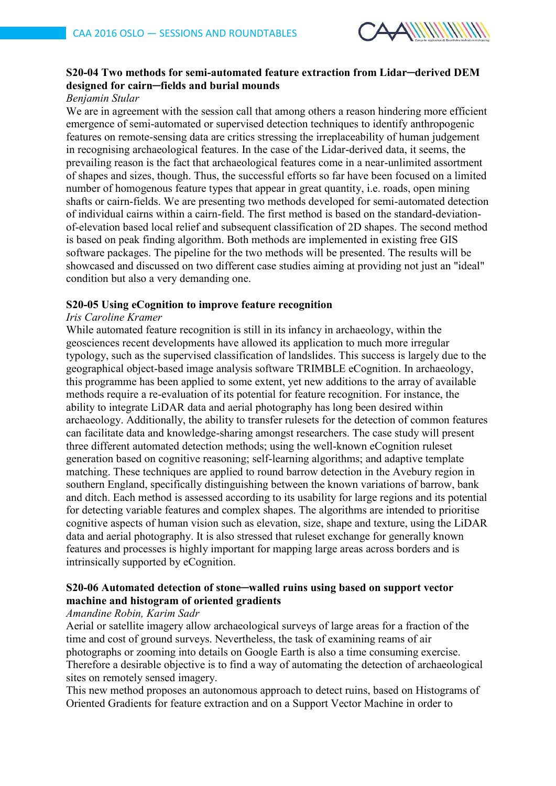

# **S20-04 Two methods for semi-automated feature extraction from Lidar─derived DEM designed for cairn─fields and burial mounds**

## *Benjamin Stular*

We are in agreement with the session call that among others a reason hindering more efficient emergence of semi-automated or supervised detection techniques to identify anthropogenic features on remote-sensing data are critics stressing the irreplaceability of human judgement in recognising archaeological features. In the case of the Lidar-derived data, it seems, the prevailing reason is the fact that archaeological features come in a near-unlimited assortment of shapes and sizes, though. Thus, the successful efforts so far have been focused on a limited number of homogenous feature types that appear in great quantity, i.e. roads, open mining shafts or cairn-fields. We are presenting two methods developed for semi-automated detection of individual cairns within a cairn-field. The first method is based on the standard-deviationof-elevation based local relief and subsequent classification of 2D shapes. The second method is based on peak finding algorithm. Both methods are implemented in existing free GIS software packages. The pipeline for the two methods will be presented. The results will be showcased and discussed on two different case studies aiming at providing not just an "ideal" condition but also a very demanding one.

#### **S20-05 Using eCognition to improve feature recognition**

#### *Iris Caroline Kramer*

While automated feature recognition is still in its infancy in archaeology, within the geosciences recent developments have allowed its application to much more irregular typology, such as the supervised classification of landslides. This success is largely due to the geographical object-based image analysis software TRIMBLE eCognition. In archaeology, this programme has been applied to some extent, yet new additions to the array of available methods require a re-evaluation of its potential for feature recognition. For instance, the ability to integrate LiDAR data and aerial photography has long been desired within archaeology. Additionally, the ability to transfer rulesets for the detection of common features can facilitate data and knowledge-sharing amongst researchers. The case study will present three different automated detection methods; using the well-known eCognition ruleset generation based on cognitive reasoning; self-learning algorithms; and adaptive template matching. These techniques are applied to round barrow detection in the Avebury region in southern England, specifically distinguishing between the known variations of barrow, bank and ditch. Each method is assessed according to its usability for large regions and its potential for detecting variable features and complex shapes. The algorithms are intended to prioritise cognitive aspects of human vision such as elevation, size, shape and texture, using the LiDAR data and aerial photography. It is also stressed that ruleset exchange for generally known features and processes is highly important for mapping large areas across borders and is intrinsically supported by eCognition.

# **S20-06 Automated detection of stone─walled ruins using based on support vector machine and histogram of oriented gradients**

#### *Amandine Robin, Karim Sadr*

Aerial or satellite imagery allow archaeological surveys of large areas for a fraction of the time and cost of ground surveys. Nevertheless, the task of examining reams of air photographs or zooming into details on Google Earth is also a time consuming exercise. Therefore a desirable objective is to find a way of automating the detection of archaeological sites on remotely sensed imagery.

This new method proposes an autonomous approach to detect ruins, based on Histograms of Oriented Gradients for feature extraction and on a Support Vector Machine in order to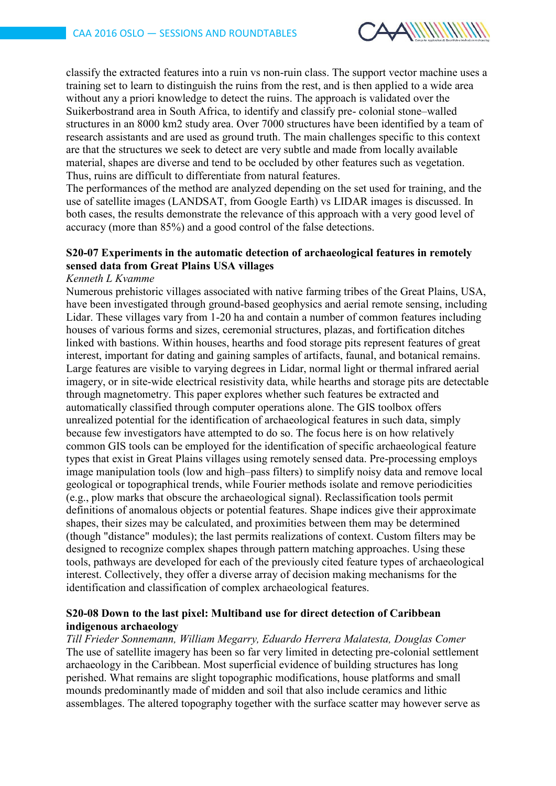

classify the extracted features into a ruin vs non-ruin class. The support vector machine uses a training set to learn to distinguish the ruins from the rest, and is then applied to a wide area without any a priori knowledge to detect the ruins. The approach is validated over the Suikerbostrand area in South Africa, to identify and classify pre- colonial stone–walled structures in an 8000 km2 study area. Over 7000 structures have been identified by a team of research assistants and are used as ground truth. The main challenges specific to this context are that the structures we seek to detect are very subtle and made from locally available material, shapes are diverse and tend to be occluded by other features such as vegetation. Thus, ruins are difficult to differentiate from natural features.

The performances of the method are analyzed depending on the set used for training, and the use of satellite images (LANDSAT, from Google Earth) vs LIDAR images is discussed. In both cases, the results demonstrate the relevance of this approach with a very good level of accuracy (more than 85%) and a good control of the false detections.

# **S20-07 Experiments in the automatic detection of archaeological features in remotely sensed data from Great Plains USA villages**

#### *Kenneth L Kvamme*

Numerous prehistoric villages associated with native farming tribes of the Great Plains, USA, have been investigated through ground-based geophysics and aerial remote sensing, including Lidar. These villages vary from 1-20 ha and contain a number of common features including houses of various forms and sizes, ceremonial structures, plazas, and fortification ditches linked with bastions. Within houses, hearths and food storage pits represent features of great interest, important for dating and gaining samples of artifacts, faunal, and botanical remains. Large features are visible to varying degrees in Lidar, normal light or thermal infrared aerial imagery, or in site-wide electrical resistivity data, while hearths and storage pits are detectable through magnetometry. This paper explores whether such features be extracted and automatically classified through computer operations alone. The GIS toolbox offers unrealized potential for the identification of archaeological features in such data, simply because few investigators have attempted to do so. The focus here is on how relatively common GIS tools can be employed for the identification of specific archaeological feature types that exist in Great Plains villages using remotely sensed data. Pre-processing employs image manipulation tools (low and high–pass filters) to simplify noisy data and remove local geological or topographical trends, while Fourier methods isolate and remove periodicities (e.g., plow marks that obscure the archaeological signal). Reclassification tools permit definitions of anomalous objects or potential features. Shape indices give their approximate shapes, their sizes may be calculated, and proximities between them may be determined (though "distance" modules); the last permits realizations of context. Custom filters may be designed to recognize complex shapes through pattern matching approaches. Using these tools, pathways are developed for each of the previously cited feature types of archaeological interest. Collectively, they offer a diverse array of decision making mechanisms for the identification and classification of complex archaeological features.

#### **S20-08 Down to the last pixel: Multiband use for direct detection of Caribbean indigenous archaeology**

*Till Frieder Sonnemann, William Megarry, Eduardo Herrera Malatesta, Douglas Comer* The use of satellite imagery has been so far very limited in detecting pre-colonial settlement archaeology in the Caribbean. Most superficial evidence of building structures has long perished. What remains are slight topographic modifications, house platforms and small mounds predominantly made of midden and soil that also include ceramics and lithic assemblages. The altered topography together with the surface scatter may however serve as